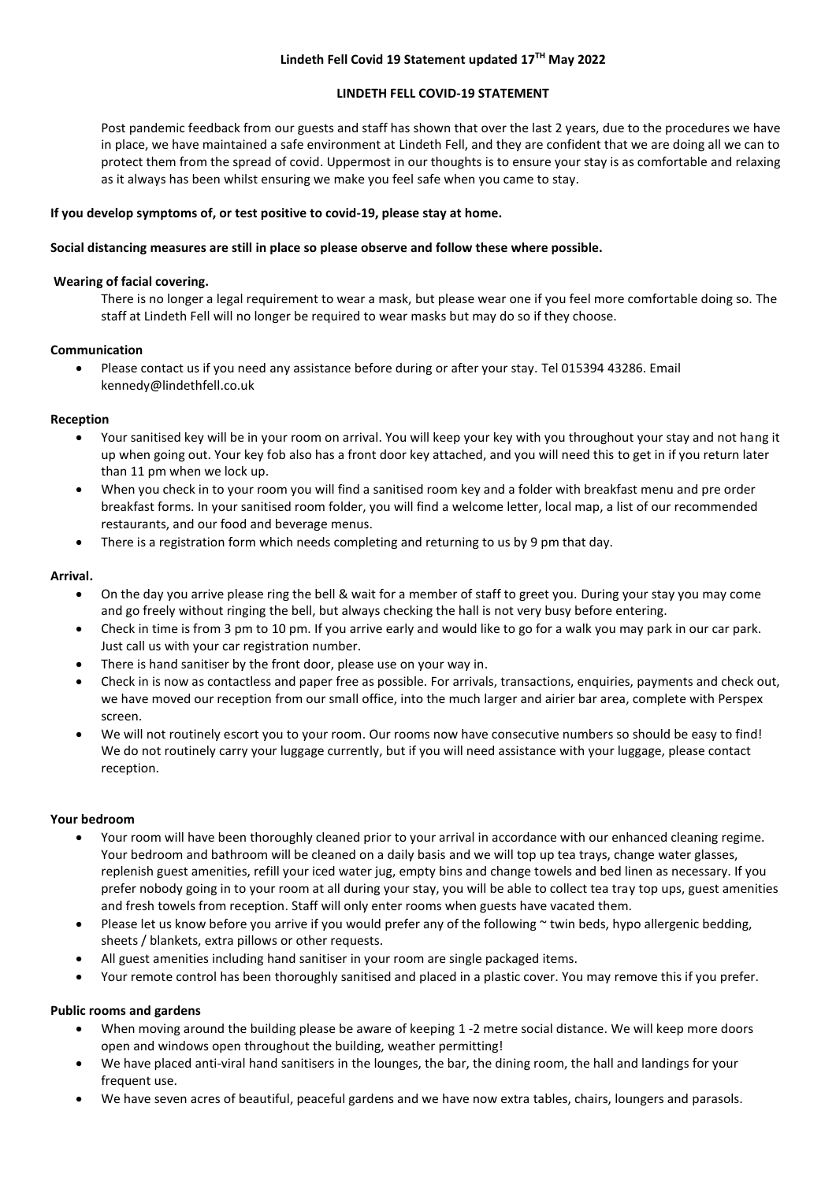# **Lindeth Fell Covid 19 Statement updated 17TH May 2022**

## **LINDETH FELL COVID-19 STATEMENT**

Post pandemic feedback from our guests and staff has shown that over the last 2 years, due to the procedures we have in place, we have maintained a safe environment at Lindeth Fell, and they are confident that we are doing all we can to protect them from the spread of covid. Uppermost in our thoughts is to ensure your stay is as comfortable and relaxing as it always has been whilst ensuring we make you feel safe when you came to stay.

# **If you develop symptoms of, or test positive to covid-19, please stay at home.**

## **Social distancing measures are still in place so please observe and follow these where possible.**

# **Wearing of facial covering.**

There is no longer a legal requirement to wear a mask, but please wear one if you feel more comfortable doing so. The staff at Lindeth Fell will no longer be required to wear masks but may do so if they choose.

## **Communication**

 Please contact us if you need any assistance before during or after your stay. Tel 015394 43286. Email kennedy@lindethfell.co.uk

## **Reception**

- Your sanitised key will be in your room on arrival. You will keep your key with you throughout your stay and not hang it up when going out. Your key fob also has a front door key attached, and you will need this to get in if you return later than 11 pm when we lock up.
- When you check in to your room you will find a sanitised room key and a folder with breakfast menu and pre order breakfast forms. In your sanitised room folder, you will find a welcome letter, local map, a list of our recommended restaurants, and our food and beverage menus.
- There is a registration form which needs completing and returning to us by 9 pm that day.

# **Arrival.**

- On the day you arrive please ring the bell & wait for a member of staff to greet you. During your stay you may come and go freely without ringing the bell, but always checking the hall is not very busy before entering.
- Check in time is from 3 pm to 10 pm. If you arrive early and would like to go for a walk you may park in our car park. Just call us with your car registration number.
- There is hand sanitiser by the front door, please use on your way in.
- Check in is now as contactless and paper free as possible. For arrivals, transactions, enquiries, payments and check out, we have moved our reception from our small office, into the much larger and airier bar area, complete with Perspex screen.
- We will not routinely escort you to your room. Our rooms now have consecutive numbers so should be easy to find! We do not routinely carry your luggage currently, but if you will need assistance with your luggage, please contact reception.

## **Your bedroom**

- Your room will have been thoroughly cleaned prior to your arrival in accordance with our enhanced cleaning regime. Your bedroom and bathroom will be cleaned on a daily basis and we will top up tea trays, change water glasses, replenish guest amenities, refill your iced water jug, empty bins and change towels and bed linen as necessary. If you prefer nobody going in to your room at all during your stay, you will be able to collect tea tray top ups, guest amenities and fresh towels from reception. Staff will only enter rooms when guests have vacated them.
- Please let us know before you arrive if you would prefer any of the following  $\sim$  twin beds, hypo allergenic bedding, sheets / blankets, extra pillows or other requests.
- All guest amenities including hand sanitiser in your room are single packaged items.
- Your remote control has been thoroughly sanitised and placed in a plastic cover. You may remove this if you prefer.

## **Public rooms and gardens**

- When moving around the building please be aware of keeping 1 -2 metre social distance. We will keep more doors open and windows open throughout the building, weather permitting!
- We have placed anti-viral hand sanitisers in the lounges, the bar, the dining room, the hall and landings for your frequent use.
- We have seven acres of beautiful, peaceful gardens and we have now extra tables, chairs, loungers and parasols.